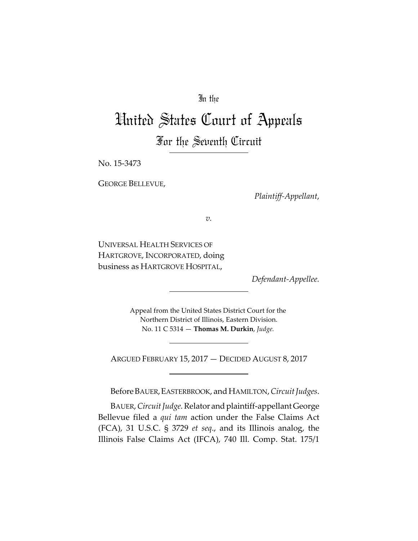# In the

# United States Court of Appeals For the Seventh Circuit

No. 15‐3473

GEORGE BELLEVUE,

*Plaintiff‐Appellant*,

*v.*

UNIVERSAL HEALTH SERVICES OF HARTGROVE, INCORPORATED, doing business as HARTGROVE HOSPITAL,

*Defendant‐Appellee.*

Appeal from the United States District Court for the Northern District of Illinois, Eastern Division. No. 11 C 5314 — **Thomas M. Durkin**, *Judge.*

ARGUED FEBRUARY 15, 2017 — DECIDED AUGUST 8, 2017

Before BAUER, EASTERBROOK, and HAMILTON, Circuit Judges.

BAUER, Circuit Judge. Relator and plaintiff-appellant George Bellevue filed a *qui tam* action under the False Claims Act (FCA), 31 U.S.C. § 3729 *et seq*., and its Illinois analog, the Illinois False Claims Act (IFCA), 740 Ill. Comp. Stat. 175/1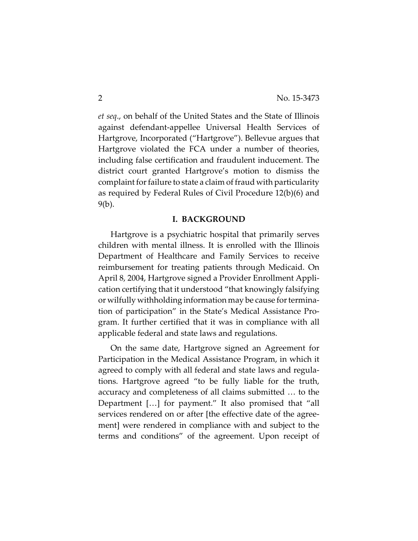*et seq*., on behalf of the United States and the State of Illinois against defendant‐appellee Universal Health Services of Hartgrove, Incorporated ("Hartgrove"). Bellevue argues that Hartgrove violated the FCA under a number of theories, including false certification and fraudulent inducement. The district court granted Hartgrove's motion to dismiss the complaint for failure to state a claim of fraud with particularity as required by Federal Rules of Civil Procedure 12(b)(6) and 9(b).

## **I. BACKGROUND**

Hartgrove is a psychiatric hospital that primarily serves children with mental illness. It is enrolled with the Illinois Department of Healthcare and Family Services to receive reimbursement for treating patients through Medicaid. On April 8, 2004, Hartgrove signed a Provider Enrollment Appli‐ cation certifying that it understood "that knowingly falsifying or wilfully withholding information may be cause for termination of participation" in the State's Medical Assistance Pro‐ gram. It further certified that it was in compliance with all applicable federal and state laws and regulations.

On the same date, Hartgrove signed an Agreement for Participation in the Medical Assistance Program, in which it agreed to comply with all federal and state laws and regula‐ tions. Hartgrove agreed "to be fully liable for the truth, accuracy and completeness of all claims submitted … to the Department […] for payment." It also promised that "all services rendered on or after [the effective date of the agreement] were rendered in compliance with and subject to the terms and conditions" of the agreement. Upon receipt of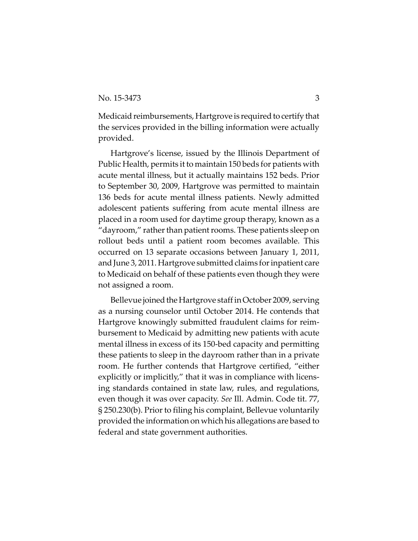Medicaid reimbursements, Hartgrove is required to certify that the services provided in the billing information were actually provided.

Hartgrove's license, issued by the Illinois Department of Public Health, permits it to maintain 150 beds for patients with acute mental illness, but it actually maintains 152 beds. Prior to September 30, 2009, Hartgrove was permitted to maintain 136 beds for acute mental illness patients. Newly admitted adolescent patients suffering from acute mental illness are placed in a room used for daytime group therapy, known as a "dayroom," rather than patient rooms. These patients sleep on rollout beds until a patient room becomes available. This occurred on 13 separate occasions between January 1, 2011, and June 3, 2011. Hartgrove submitted claims for inpatient care to Medicaid on behalf of these patients even though they were not assigned a room.

Bellevue joined the Hartgrove staff in October 2009, serving as a nursing counselor until October 2014. He contends that Hartgrove knowingly submitted fraudulent claims for reim‐ bursement to Medicaid by admitting new patients with acute mental illness in excess of its 150‐bed capacity and permitting these patients to sleep in the dayroom rather than in a private room. He further contends that Hartgrove certified, "either explicitly or implicitly," that it was in compliance with licens‐ ing standards contained in state law, rules, and regulations, even though it was over capacity. *See* Ill. Admin. Code tit. 77, § 250.230(b). Prior to filing his complaint, Bellevue voluntarily provided the information on which his allegations are based to federal and state government authorities.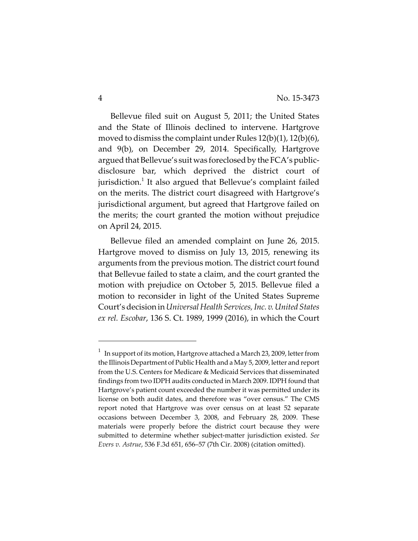Bellevue filed suit on August 5, 2011; the United States and the State of Illinois declined to intervene. Hartgrove moved to dismiss the complaint under Rules 12(b)(1), 12(b)(6), and 9(b), on December 29, 2014. Specifically, Hartgrove argued that Bellevue's suit was foreclosed by the FCA's publicdisclosure bar, which deprived the district court of jurisdiction.<sup>1</sup> It also argued that Bellevue's complaint failed on the merits. The district court disagreed with Hartgrove's jurisdictional argument, but agreed that Hartgrove failed on the merits; the court granted the motion without prejudice on April 24, 2015.

Bellevue filed an amended complaint on June 26, 2015. Hartgrove moved to dismiss on July 13, 2015, renewing its arguments from the previous motion. The district court found that Bellevue failed to state a claim, and the court granted the motion with prejudice on October 5, 2015. Bellevue filed a motion to reconsider in light of the United States Supreme Court's decision in*UniversalHealth Services,Inc. v.United States ex rel. Escobar*, 136 S. Ct. 1989, 1999 (2016), in which the Court

 $^1$  In support of its motion, Hartgrove attached a March 23, 2009, letter from the Illinois Department of Public Health and a May 5, 2009, letter and report from the U.S. Centers for Medicare & Medicaid Services that disseminated findings from two IDPH audits conducted in March 2009. IDPH found that Hartgrove's patient count exceeded the number it was permitted under its license on both audit dates, and therefore was "over census." The CMS report noted that Hartgrove was over census on at least 52 separate occasions between December 3, 2008, and February 28, 2009. These materials were properly before the district court because they were submitted to determine whether subject‐matter jurisdiction existed. *See Evers v. Astrue*, 536 F.3d 651, 656–57 (7th Cir. 2008) (citation omitted).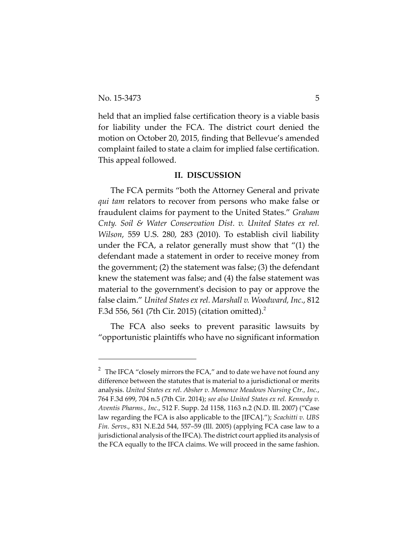held that an implied false certification theory is a viable basis for liability under the FCA. The district court denied the motion on October 20, 2015, finding that Bellevue's amended complaint failed to state a claim for implied false certification. This appeal followed.

### **II. DISCUSSION**

The FCA permits "both the Attorney General and private *qui tam* relators to recover from persons who make false or fraudulent claims for payment to the United States." *Graham Cnty. Soil & Water Conservation Dist. v. United States ex rel. Wilson*, 559 U.S. 280, 283 (2010). To establish civil liability under the FCA, a relator generally must show that "(1) the defendant made a statement in order to receive money from the government; (2) the statement was false; (3) the defendant knew the statement was false; and (4) the false statement was material to the government's decision to pay or approve the false claim." *United States ex rel. Marshall v. Woodward, Inc*., 812 F.3d 556, 561 (7th Cir. 2015) (citation omitted).2

The FCA also seeks to prevent parasitic lawsuits by "opportunistic plaintiffs who have no significant information

<sup>&</sup>lt;sup>2</sup> The IFCA "closely mirrors the FCA," and to date we have not found any difference between the statutes that is material to a jurisdictional or merits analysis. *United States ex rel*. *Absher v. Momence Meadows Nursing Ctr., Inc.*, 764 F.3d 699, 704 n.5 (7th Cir. 2014); *see also United States ex rel. Kennedy v. Aventis Pharms., Inc*., 512 F. Supp. 2d 1158, 1163 n.2 (N.D. Ill. 2007) ("Case law regarding the FCA is also applicable to the [IFCA]."); *Scachitti v. UBS Fin. Servs*., 831 N.E.2d 544, 557–59 (Ill. 2005) (applying FCA case law to a jurisdictional analysis of the IFCA). The district court applied its analysis of the FCA equally to the IFCA claims. We will proceed in the same fashion.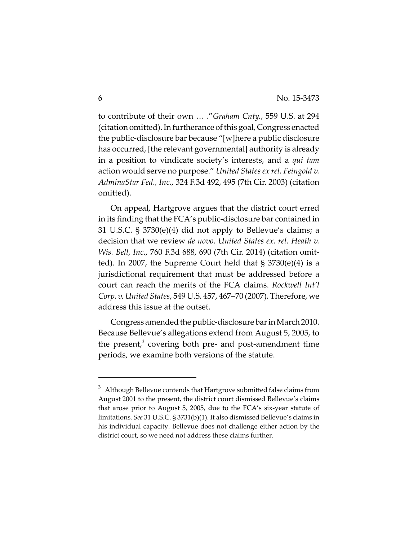to contribute of their own … ."*Graham Cnty.*, 559 U.S. at 294 (citation omitted). In furtherance of this goal, Congress enacted the public‐disclosure bar because "[w]here a public disclosure has occurred, [the relevant governmental] authority is already in a position to vindicate society's interests, and a *qui tam* action would serve no purpose." *United States ex rel. Feingold v. AdminaStar Fed., Inc*., 324 F.3d 492, 495 (7th Cir. 2003) (citation omitted).

On appeal, Hartgrove argues that the district court erred in its finding that the FCA's public‐disclosure bar contained in 31 U.S.C. § 3730(e)(4) did not apply to Bellevue's claims; a decision that we review *de novo*. *United States ex. rel. Heath v. Wis. Bell, Inc*., 760 F.3d 688, 690 (7th Cir. 2014) (citation omit‐ ted). In 2007, the Supreme Court held that § 3730(e)(4) is a jurisdictional requirement that must be addressed before a court can reach the merits of the FCA claims. *Rockwell Int'l Corp. v. United States*, 549 U.S. 457, 467–70 (2007). Therefore, we address this issue at the outset.

Congress amended the public-disclosure bar in March 2010. Because Bellevue's allegations extend from August 5, 2005, to the present, $3$  covering both pre- and post-amendment time periods, we examine both versions of the statute.

 $^3$  Although Bellevue contends that Hartgrove submitted false claims from August 2001 to the present, the district court dismissed Bellevue's claims that arose prior to August 5, 2005, due to the FCA's six‐year statute of limitations. *See* 31 U.S.C. § 3731(b)(1). It also dismissed Bellevue's claims in his individual capacity. Bellevue does not challenge either action by the district court, so we need not address these claims further.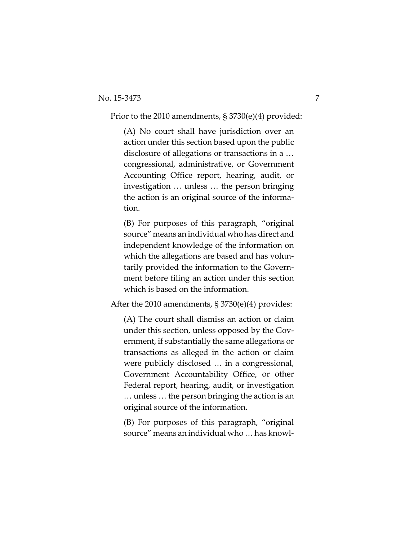Prior to the 2010 amendments, § 3730(e)(4) provided:

(A) No court shall have jurisdiction over an action under this section based upon the public disclosure of allegations or transactions in a … congressional, administrative, or Government Accounting Office report, hearing, audit, or investigation … unless … the person bringing the action is an original source of the informa‐ tion.

(B) For purposes of this paragraph, "original source" means an individual who has direct and independent knowledge of the information on which the allegations are based and has voluntarily provided the information to the Govern‐ ment before filing an action under this section which is based on the information.

After the 2010 amendments, § 3730(e)(4) provides:

(A) The court shall dismiss an action or claim under this section, unless opposed by the Government, if substantially the same allegations or transactions as alleged in the action or claim were publicly disclosed … in a congressional, Government Accountability Office, or other Federal report, hearing, audit, or investigation … unless … the person bringing the action is an original source of the information.

(B) For purposes of this paragraph, "original source" means an individual who ... has knowl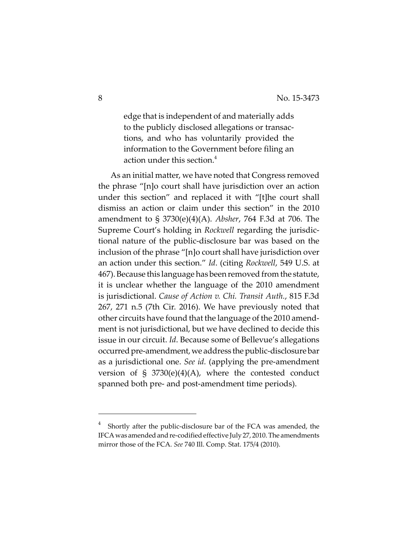edge that is independent of and materially adds to the publicly disclosed allegations or transac‐ tions, and who has voluntarily provided the information to the Government before filing an action under this section.<sup>4</sup>

As an initial matter, we have noted that Congress removed the phrase "[n]o court shall have jurisdiction over an action under this section" and replaced it with "[t]he court shall dismiss an action or claim under this section" in the 2010 amendment to § 3730(e)(4)(A). *Absher*, 764 F.3d at 706. The Supreme Court's holding in *Rockwell* regarding the jurisdic‐ tional nature of the public‐disclosure bar was based on the inclusion of the phrase "[n]o court shall have jurisdiction over an action under this section." *Id*. (citing *Rockwell*, 549 U.S. at 467).Because this language has been removed from the statute, it is unclear whether the language of the 2010 amendment is jurisdictional. *Cause of Action v. Chi. Transit Auth.*, 815 F.3d 267, 271 n.5 (7th Cir. 2016). We have previously noted that other circuits have found that the language of the 2010 amend‐ ment is not jurisdictional, but we have declined to decide this issue in our circuit. *Id*. Because some of Bellevue's allegations occurred pre-amendment, we address the public-disclosure bar as a jurisdictional one. *See id.* (applying the pre‐amendment version of  $\S$  3730(e)(4)(A), where the contested conduct spanned both pre‐ and post‐amendment time periods).

<sup>4</sup> Shortly after the public‐disclosure bar of the FCA was amended, the IFCA was amended and re-codified effective July 27, 2010. The amendments mirror those of the FCA. *See* 740 Ill. Comp. Stat. 175/4 (2010).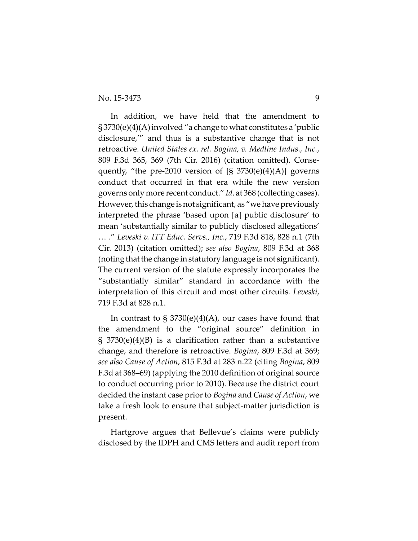In addition, we have held that the amendment to  $\S 3730(e)(4)(A)$  involved "a change to what constitutes a 'public disclosure,'" and thus is a substantive change that is not retroactive. *United States ex. rel. Bogina, v. Medline Indus., Inc.*, 809 F.3d 365, 369 (7th Cir. 2016) (citation omitted). Conse‐ quently, "the pre-2010 version of  $[S\ 3730(e)(4)(A)]$  governs conduct that occurred in that era while the new version governs only more recent conduct." *Id*. at 368 (collecting cases). However, this change is not significant, as "we have previously interpreted the phrase 'based upon [a] public disclosure' to mean 'substantially similar to publicly disclosed allegations' … ." *Leveski v. ITT Educ. Servs., Inc*., 719 F.3d 818, 828 n.1 (7th Cir. 2013) (citation omitted); *see also Bogina*, 809 F.3d at 368 (noting that the change in statutory language is not significant). The current version of the statute expressly incorporates the "substantially similar" standard in accordance with the interpretation of this circuit and most other circuits*. Leveski*, 719 F.3d at 828 n.1.

In contrast to  $\S 3730(e)(4)(A)$ , our cases have found that the amendment to the "original source" definition in § 3730(e)(4)(B) is a clarification rather than a substantive change, and therefore is retroactive. *Bogina*, 809 F.3d at 369; *see also Cause of Action*, 815 F.3d at 283 n.22 (citing *Bogina*, 809 F.3d at 368–69) (applying the 2010 definition of original source to conduct occurring prior to 2010). Because the district court decided the instant case priorto *Bogina* and *Cause of Action*, we take a fresh look to ensure that subject-matter jurisdiction is present.

Hartgrove argues that Bellevue's claims were publicly disclosed by the IDPH and CMS letters and audit report from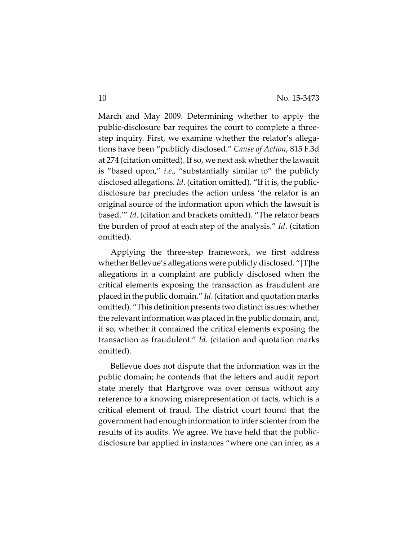March and May 2009. Determining whether to apply the public‐disclosure bar requires the court to complete a three‐ step inquiry. First, we examine whether the relator's allega‐ tions have been "publicly disclosed." *Cause of Action*, 815 F.3d at 274 (citation omitted). If so, we next ask whether the lawsuit is "based upon," *i.e*., "substantially similar to" the publicly disclosed allegations. *Id*. (citation omitted). "If it is, the public‐ disclosure bar precludes the action unless 'the relator is an original source of the information upon which the lawsuit is based.'" *Id*. (citation and brackets omitted). "The relator bears the burden of proof at each step of the analysis." *Id*. (citation omitted).

Applying the three‐step framework, we first address whether Bellevue's allegations were publicly disclosed. "[T]he allegations in a complaint are publicly disclosed when the critical elements exposing the transaction as fraudulent are placed in the public domain." *Id*.(citation and quotation marks omitted). "This definition presents two distinct issues: whether the relevant information was placed in the public domain, and, if so, whether it contained the critical elements exposing the transaction as fraudulent." *Id*. (citation and quotation marks omitted).

Bellevue does not dispute that the information was in the public domain; he contends that the letters and audit report state merely that Hartgrove was over census without any reference to a knowing misrepresentation of facts, which is a critical element of fraud. The district court found that the government had enough information to infer scienter from the results of its audits. We agree. We have held that the public‐ disclosure bar applied in instances "where one can infer, as a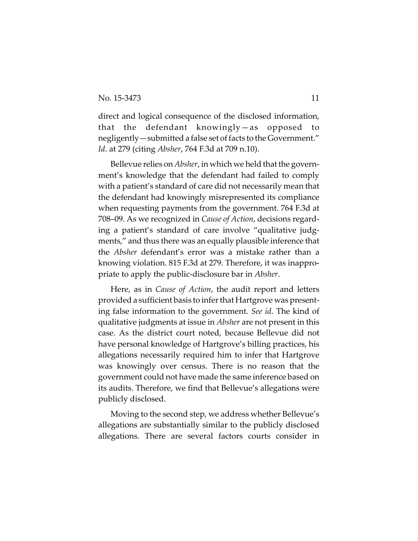direct and logical consequence of the disclosed information, that the defendant knowingly—as opposed to negligently—submitted a false set of facts to the Government." *Id*. at 279 (citing *Absher*, 764 F.3d at 709 n.10).

Bellevue relies on *Absher*, in which we held that the govern‐ ment's knowledge that the defendant had failed to comply with a patient's standard of care did not necessarily mean that the defendant had knowingly misrepresented its compliance when requesting payments from the government. 764 F.3d at 708–09. As we recognized in *Cause of Action*, decisions regard‐ ing a patient's standard of care involve "qualitative judgments," and thus there was an equally plausible inference that the *Absher* defendant's error was a mistake rather than a knowing violation. 815 F.3d at 279. Therefore, it was inappro‐ priate to apply the public‐disclosure bar in *Absher*.

Here, as in *Cause of Action*, the audit report and letters provided a sufficient basis to infer that Hartgrove was presenting false information to the government. *See id*. The kind of qualitative judgments at issue in *Absher* are not present in this case. As the district court noted, because Bellevue did not have personal knowledge of Hartgrove's billing practices, his allegations necessarily required him to infer that Hartgrove was knowingly over census. There is no reason that the government could not have made the same inference based on its audits. Therefore, we find that Bellevue's allegations were publicly disclosed.

Moving to the second step, we address whether Bellevue's allegations are substantially similar to the publicly disclosed allegations. There are several factors courts consider in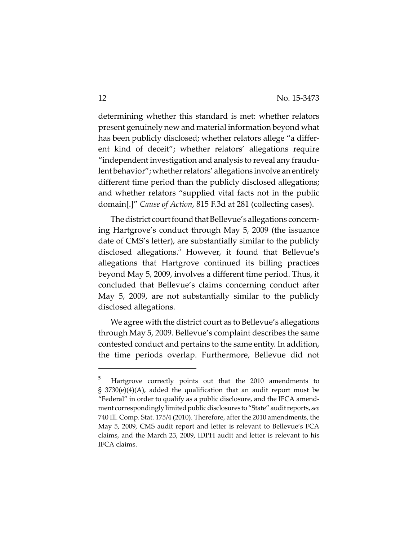determining whether this standard is met: whether relators present genuinely new and material information beyond what has been publicly disclosed; whether relators allege "a different kind of deceit"; whether relators' allegations require "independent investigation and analysis to reveal any fraudu‐ lent behavior"; whether relators' allegations involve an entirely different time period than the publicly disclosed allegations; and whether relators "supplied vital facts not in the public domain[.]" *Cause of Action*, 815 F.3d at 281 (collecting cases).

The district court found that Bellevue's allegations concerning Hartgrove's conduct through May 5, 2009 (the issuance date of CMS's letter), are substantially similar to the publicly disclosed allegations.<sup>5</sup> However, it found that Bellevue's allegations that Hartgrove continued its billing practices beyond May 5, 2009, involves a different time period. Thus, it concluded that Bellevue's claims concerning conduct after May 5, 2009, are not substantially similar to the publicly disclosed allegations.

We agree with the district court as to Bellevue's allegations through May 5, 2009. Bellevue's complaint describes the same contested conduct and pertains to the same entity. In addition, the time periods overlap. Furthermore, Bellevue did not

<sup>5</sup> Hartgrove correctly points out that the 2010 amendments to  $\S$  3730(e)(4)(A), added the qualification that an audit report must be "Federal" in order to qualify as a public disclosure, and the IFCA amend‐ ment correspondingly limited public disclosures to "State" audit reports, see 740 Ill. Comp. Stat. 175/4 (2010). Therefore, after the 2010 amendments, the May 5, 2009, CMS audit report and letter is relevant to Bellevue's FCA claims, and the March 23, 2009, IDPH audit and letter is relevant to his IFCA claims.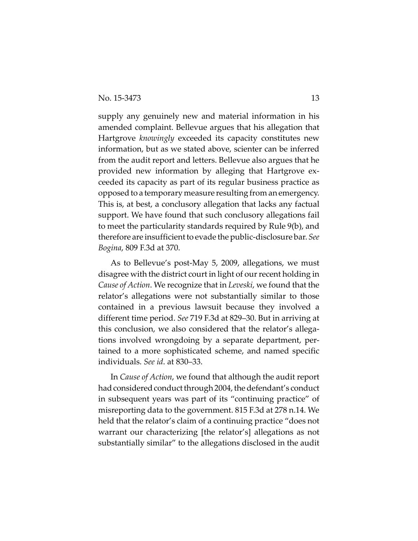supply any genuinely new and material information in his amended complaint. Bellevue argues that his allegation that Hartgrove *knowingly* exceeded its capacity constitutes new information, but as we stated above, scienter can be inferred from the audit report and letters. Bellevue also argues that he provided new information by alleging that Hartgrove ex‐ ceeded its capacity as part of its regular business practice as opposed to a temporary measure resulting from an emergency. This is, at best, a conclusory allegation that lacks any factual support. We have found that such conclusory allegations fail to meet the particularity standards required by Rule 9(b), and therefore are insufficient to evade the public-disclosure bar. *See Bogina*, 809 F.3d at 370.

As to Bellevue's post‐May 5, 2009, allegations, we must disagree with the district court in light of our recent holding in *Cause of Action*. We recognize that in *Leveski*, we found that the relator's allegations were not substantially similar to those contained in a previous lawsuit because they involved a different time period. *See* 719 F.3d at 829–30. But in arriving at this conclusion, we also considered that the relator's allega‐ tions involved wrongdoing by a separate department, per‐ tained to a more sophisticated scheme, and named specific individuals. *See id*. at 830–33.

In *Cause of Action*, we found that although the audit report had considered conduct through 2004, the defendant's conduct in subsequent years was part of its "continuing practice" of misreporting data to the government. 815 F.3d at 278 n.14. We held that the relator's claim of a continuing practice "does not warrant our characterizing [the relator's] allegations as not substantially similar" to the allegations disclosed in the audit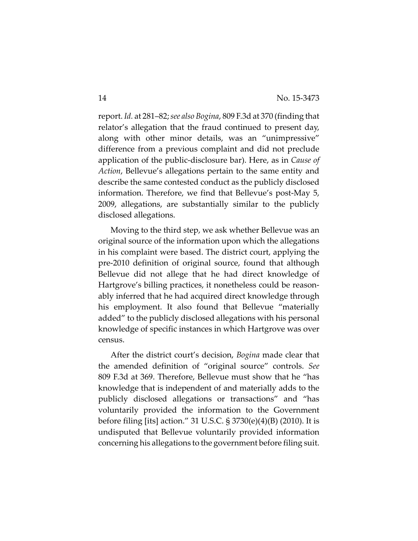report. *Id.* at 281–82;*see also Bogina*, 809 F.3d at 370 (finding that relator's allegation that the fraud continued to present day, along with other minor details, was an "unimpressive" difference from a previous complaint and did not preclude application of the public‐disclosure bar). Here, as in *Cause of Action*, Bellevue's allegations pertain to the same entity and describe the same contested conduct as the publicly disclosed information. Therefore, we find that Bellevue's post‐May 5, 2009, allegations, are substantially similar to the publicly disclosed allegations.

Moving to the third step, we ask whether Bellevue was an original source of the information upon which the allegations in his complaint were based. The district court, applying the pre‐2010 definition of original source, found that although Bellevue did not allege that he had direct knowledge of Hartgrove's billing practices, it nonetheless could be reason‐ ably inferred that he had acquired direct knowledge through his employment. It also found that Bellevue "materially added" to the publicly disclosed allegations with his personal knowledge of specific instances in which Hartgrove was over census.

After the district court's decision, *Bogina* made clear that the amended definition of "original source" controls. *See* 809 F.3d at 369. Therefore, Bellevue must show that he "has knowledge that is independent of and materially adds to the publicly disclosed allegations or transactions" and "has voluntarily provided the information to the Government before filing [its] action." 31 U.S.C. § 3730(e)(4)(B) (2010). It is undisputed that Bellevue voluntarily provided information concerning his allegations to the government before filing suit.